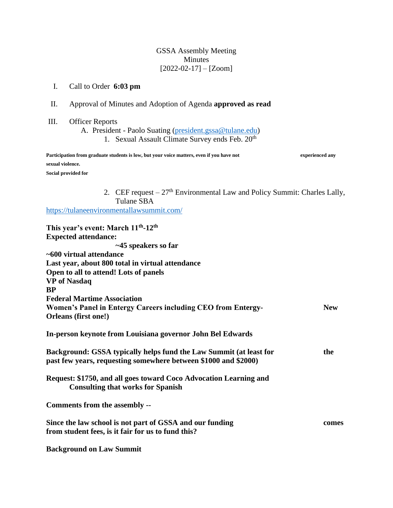# GSSA Assembly Meeting Minutes  $[2022-02-17] - [Zoom]$

# I. Call to Order **6:03 pm**

- II. Approval of Minutes and Adoption of Agenda **approved as read**
- III. Officer Reports
	- A. President Paolo Suating [\(president.gssa@tulane.edu\)](mailto:president.gssa@tulane.edu)
		- 1. Sexual Assault Climate Survey ends Feb. 20<sup>th</sup>

| Participation from graduate students is low, but your voice matters, even if you have not | experienced any |
|-------------------------------------------------------------------------------------------|-----------------|
| sexual violence.                                                                          |                 |
| Social provided for                                                                       |                 |

2. CEF request  $-27$ <sup>th</sup> Environmental Law and Policy Summit: Charles Lally, Tulane SBA

<https://tulaneenvironmentallawsummit.com/>

| This year's event: March 11 <sup>th</sup> -12 <sup>th</sup>        |            |
|--------------------------------------------------------------------|------------|
| <b>Expected attendance:</b>                                        |            |
| $~1$ $~45$ speakers so far                                         |            |
| ~600 virtual attendance                                            |            |
| Last year, about 800 total in virtual attendance                   |            |
| Open to all to attend! Lots of panels                              |            |
| <b>VP</b> of Nasdaq                                                |            |
| <b>BP</b>                                                          |            |
| <b>Federal Martime Association</b>                                 |            |
| Women's Panel in Entergy Careers including CEO from Entergy-       | <b>New</b> |
| Orleans (first one!)                                               |            |
|                                                                    |            |
| In-person keynote from Louisiana governor John Bel Edwards         |            |
|                                                                    |            |
| Background: GSSA typically helps fund the Law Summit (at least for | the        |
| past few years, requesting somewhere between \$1000 and \$2000)    |            |
|                                                                    |            |
| Request: \$1750, and all goes toward Coco Advocation Learning and  |            |
| <b>Consulting that works for Spanish</b>                           |            |
| Comments from the assembly --                                      |            |
|                                                                    |            |
| Since the law school is not part of GSSA and our funding           | comes      |
| from student fees, is it fair for us to fund this?                 |            |
|                                                                    |            |
| <b>Background on Law Summit</b>                                    |            |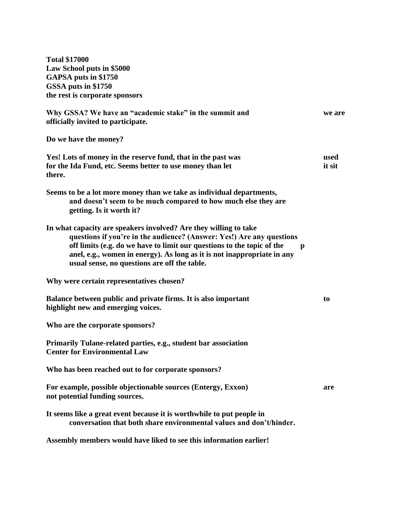**Total \$17000 Law School puts in \$5000 GAPSA puts in \$1750 GSSA puts in \$1750 the rest is corporate sponsors Why GSSA? We have an "academic stake" in the summit and we are officially invited to participate. Do we have the money? Yes! Lots of money in the reserve fund, that in the past was used for the Ida Fund, etc. Seems better to use money than let it sit it sit it sit it sit if sit if sit if sit if sit if sit if sit if sit if sit if sit if sit if sit if sit if sit if sit if sit if sit if sit if sit if sit if there. Seems to be a lot more money than we take as individual departments, and doesn't seem to be much compared to how much else they are getting. Is it worth it? In what capacity are speakers involved? Are they willing to take questions if you're in the audience? (Answer: Yes!) Are any questions off limits (e.g. do we have to limit our questions to the topic of the p anel, e.g., women in energy). As long as it is not inappropriate in any usual sense, no questions are off the table. Why were certain representatives chosen? Balance between public and private firms. It is also important to be the set of the set of the set of the set of the set of the set of the set of the set of the set of the set of the set of the set of the set of the set o highlight new and emerging voices. Who are the corporate sponsors? Primarily Tulane-related parties, e.g., student bar association Center for Environmental Law Who has been reached out to for corporate sponsors? For example, possible objectionable sources (Entergy, Exxon) are not potential funding sources. It seems like a great event because it is worthwhile to put people in conversation that both share environmental values and don't/hinder. Assembly members would have liked to see this information earlier!**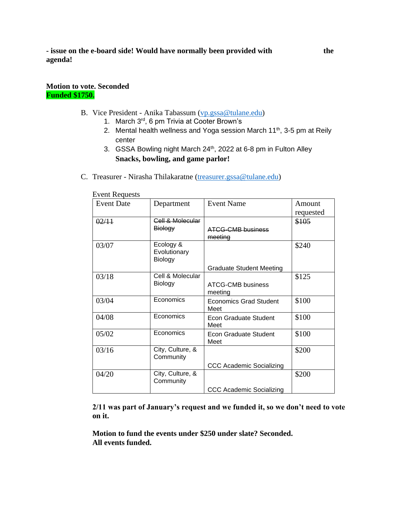### **Motion to vote. Seconded Funded \$1750.**

- B. Vice President Anika Tabassum [\(vp.gssa@tulane.edu\)](mailto:vp.gssa@tulane.edu)
	- 1. March 3rd, 6 pm Trivia at Cooter Brown's
	- 2. Mental health wellness and Yoga session March  $11<sup>th</sup>$ , 3-5 pm at Reily center
	- 3. GSSA Bowling night March 24<sup>th</sup>, 2022 at 6-8 pm in Fulton Alley **Snacks, bowling, and game parlor!**
- C. Treasurer Nirasha Thilakaratne [\(treasurer.gssa@tulane.edu\)](mailto:treasurer.gssa@tulane.edu)

| ovent <b>index</b><br><b>Event Date</b> | Department         | <b>Event Name</b>               | Amount    |
|-----------------------------------------|--------------------|---------------------------------|-----------|
|                                         |                    |                                 |           |
|                                         |                    |                                 | requested |
| 02/11                                   | Cell & Molecular   |                                 | \$105     |
|                                         | <del>Biology</del> | <b>ATCG-CMB business</b>        |           |
|                                         |                    | meeting                         |           |
| 03/07                                   | Ecology &          |                                 | \$240     |
|                                         | Evolutionary       |                                 |           |
|                                         | Biology            |                                 |           |
|                                         |                    | <b>Graduate Student Meeting</b> |           |
| 03/18                                   | Cell & Molecular   |                                 | \$125     |
|                                         | Biology            | ATCG-CMB business               |           |
|                                         |                    | meeting                         |           |
| 03/04                                   | Economics          | <b>Economics Grad Student</b>   | \$100     |
|                                         |                    | Meet                            |           |
| 04/08                                   | Economics          | Econ Graduate Student           | \$100     |
|                                         |                    | Meet                            |           |
| 05/02                                   | Economics          | Econ Graduate Student           | \$100     |
|                                         |                    | Meet                            |           |
| 03/16                                   | City, Culture, &   |                                 | \$200     |
|                                         | Community          |                                 |           |
|                                         |                    | <b>CCC Academic Socializing</b> |           |
| 04/20                                   | City, Culture, &   |                                 | \$200     |
|                                         | Community          |                                 |           |
|                                         |                    | <b>CCC Academic Socializing</b> |           |

Event Requests

**2/11 was part of January's request and we funded it, so we don't need to vote on it.** 

**Motion to fund the events under \$250 under slate? Seconded. All events funded.**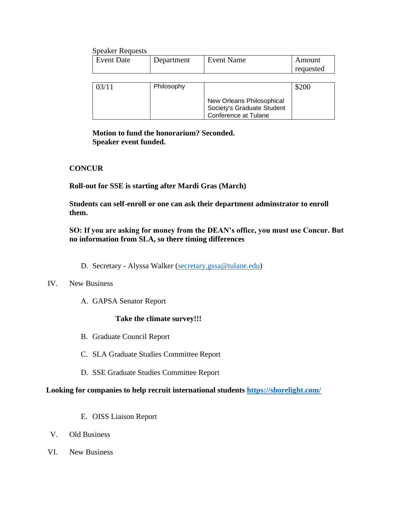| <b>Speaker Requests</b> |            |                            |           |
|-------------------------|------------|----------------------------|-----------|
| <b>Event Date</b>       | Department | <b>Event Name</b>          | Amount    |
|                         |            |                            | requested |
|                         |            |                            |           |
| 03/11                   | Philosophy |                            | \$200     |
|                         |            |                            |           |
|                         |            | New Orleans Philosophical  |           |
|                         |            | Society's Graduate Student |           |
|                         |            | Conference at Tulane       |           |

**Motion to fund the honorarium? Seconded. Speaker event funded.** 

## **CONCUR**

**Roll-out for SSE is starting after Mardi Gras (March)**

**Students can self-enroll or one can ask their department adminstrator to enroll them.** 

**SO: If you are asking for money from the DEAN's office, you must use Concur. But no information from SLA, so there timing differences** 

D. Secretary - Alyssa Walker [\(secretary.gssa@tulane.edu\)](mailto:secretary.gssa@tulane.edu)

### IV. New Business

A. GAPSA Senator Report

### **Take the climate survey!!!**

- B. Graduate Council Report
- C. SLA Graduate Studies Committee Report
- D. SSE Graduate Studies Committee Report

#### **Looking for companies to help recruit international students<https://shorelight.com/>**

- E. OISS Liaison Report
- V. Old Business
- VI. New Business